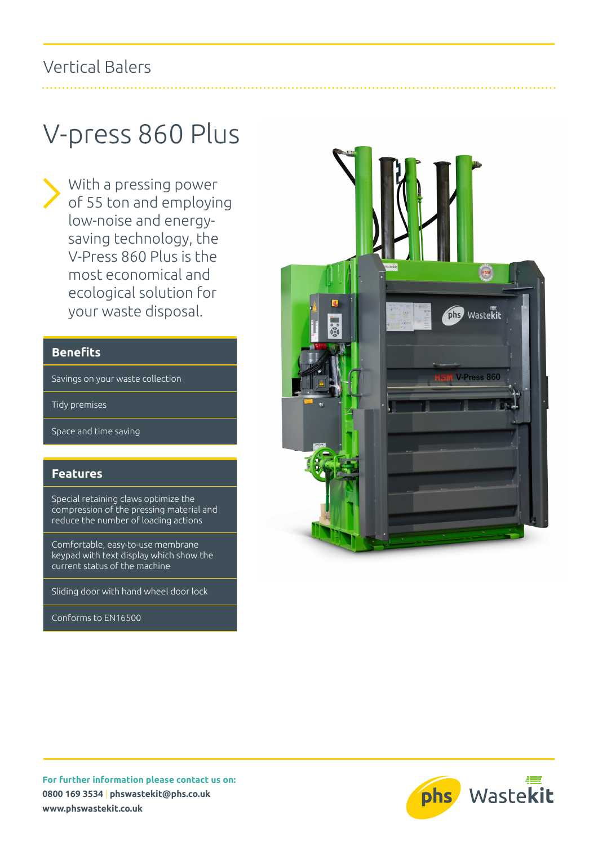### Vertical Balers

# V-press 860 Plus

With a pressing power of 55 ton and employing low-noise and energysaving technology, the V-Press 860 Plus is the most economical and ecological solution for your waste disposal.

### **Benefits**

Savings on your waste collection

Tidy premises

Space and time saving

#### **Features**

Special retaining claws optimize the compression of the pressing material and reduce the number of loading actions

Comfortable, easy-to-use membrane keypad with text display which show the current status of the machine

Sliding door with hand wheel door lock

Conforms to EN16500